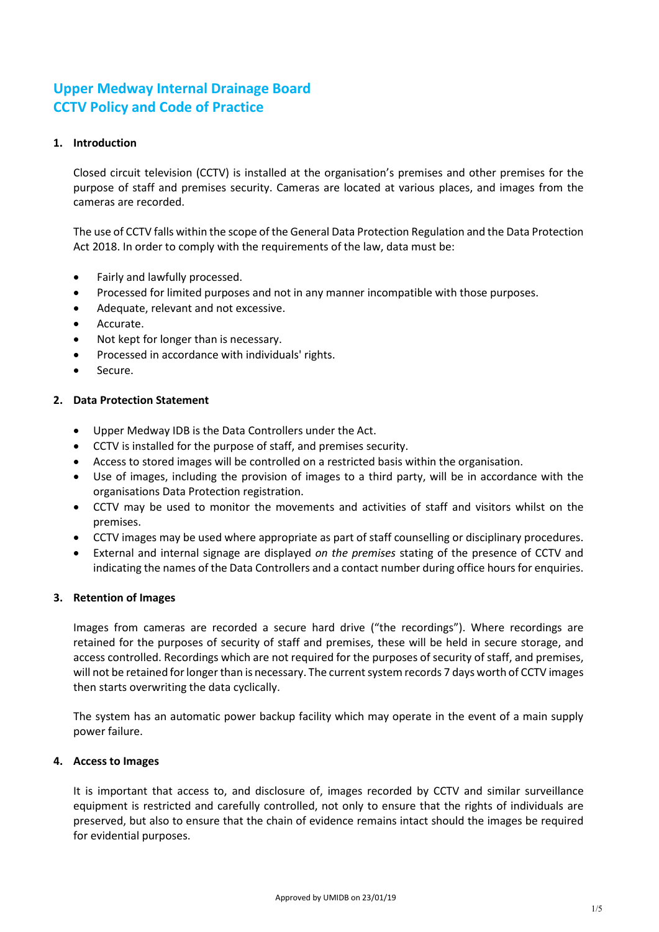# **Upper Medway Internal Drainage Board CCTV Policy and Code of Practice**

# **1. Introduction**

Closed circuit television (CCTV) is installed at the organisation's premises and other premises for the purpose of staff and premises security. Cameras are located at various places, and images from the cameras are recorded.

The use of CCTV falls within the scope of the General Data Protection Regulation and the Data Protection Act 2018. In order to comply with the requirements of the law, data must be:

- Fairly and lawfully processed.
- Processed for limited purposes and not in any manner incompatible with those purposes.
- Adequate, relevant and not excessive.
- Accurate.
- Not kept for longer than is necessary.
- Processed in accordance with individuals' rights.
- Secure.

#### **2. Data Protection Statement**

- Upper Medway IDB is the Data Controllers under the Act.
- CCTV is installed for the purpose of staff, and premises security.
- Access to stored images will be controlled on a restricted basis within the organisation.
- Use of images, including the provision of images to a third party, will be in accordance with the organisations Data Protection registration.
- CCTV may be used to monitor the movements and activities of staff and visitors whilst on the premises.
- CCTV images may be used where appropriate as part of staff counselling or disciplinary procedures.
- External and internal signage are displayed *on the premises* stating of the presence of CCTV and indicating the names of the Data Controllers and a contact number during office hours for enquiries.

#### **3. Retention of Images**

Images from cameras are recorded a secure hard drive ("the recordings"). Where recordings are retained for the purposes of security of staff and premises, these will be held in secure storage, and access controlled. Recordings which are not required for the purposes of security of staff, and premises, will not be retained for longer than is necessary. The current system records 7 days worth of CCTV images then starts overwriting the data cyclically.

The system has an automatic power backup facility which may operate in the event of a main supply power failure.

#### **4. Access to Images**

It is important that access to, and disclosure of, images recorded by CCTV and similar surveillance equipment is restricted and carefully controlled, not only to ensure that the rights of individuals are preserved, but also to ensure that the chain of evidence remains intact should the images be required for evidential purposes.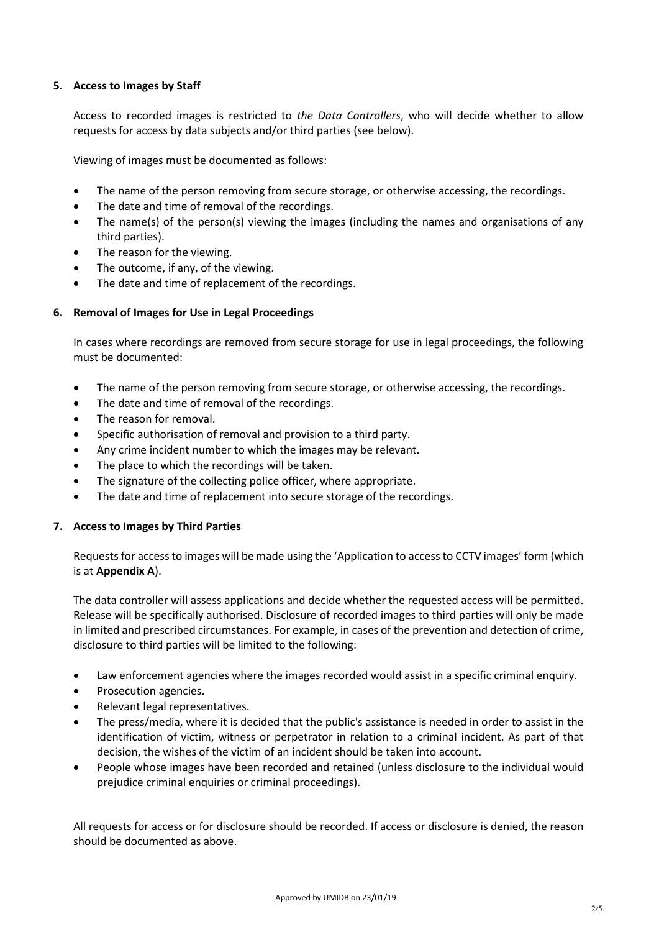# **5. Access to Images by Staff**

Access to recorded images is restricted to *the Data Controllers*, who will decide whether to allow requests for access by data subjects and/or third parties (see below).

Viewing of images must be documented as follows:

- The name of the person removing from secure storage, or otherwise accessing, the recordings.
- The date and time of removal of the recordings.
- The name(s) of the person(s) viewing the images (including the names and organisations of any third parties).
- The reason for the viewing.
- The outcome, if any, of the viewing.
- The date and time of replacement of the recordings.

#### **6. Removal of Images for Use in Legal Proceedings**

In cases where recordings are removed from secure storage for use in legal proceedings, the following must be documented:

- The name of the person removing from secure storage, or otherwise accessing, the recordings.
- The date and time of removal of the recordings.
- The reason for removal.
- Specific authorisation of removal and provision to a third party.
- Any crime incident number to which the images may be relevant.
- The place to which the recordings will be taken.
- The signature of the collecting police officer, where appropriate.
- The date and time of replacement into secure storage of the recordings.

#### **7. Access to Images by Third Parties**

Requests for access to images will be made using the 'Application to access to CCTV images' form (which is at **Appendix A**).

The data controller will assess applications and decide whether the requested access will be permitted. Release will be specifically authorised. Disclosure of recorded images to third parties will only be made in limited and prescribed circumstances. For example, in cases of the prevention and detection of crime, disclosure to third parties will be limited to the following:

- Law enforcement agencies where the images recorded would assist in a specific criminal enquiry.
- Prosecution agencies.
- Relevant legal representatives.
- The press/media, where it is decided that the public's assistance is needed in order to assist in the identification of victim, witness or perpetrator in relation to a criminal incident. As part of that decision, the wishes of the victim of an incident should be taken into account.
- People whose images have been recorded and retained (unless disclosure to the individual would prejudice criminal enquiries or criminal proceedings).

All requests for access or for disclosure should be recorded. If access or disclosure is denied, the reason should be documented as above.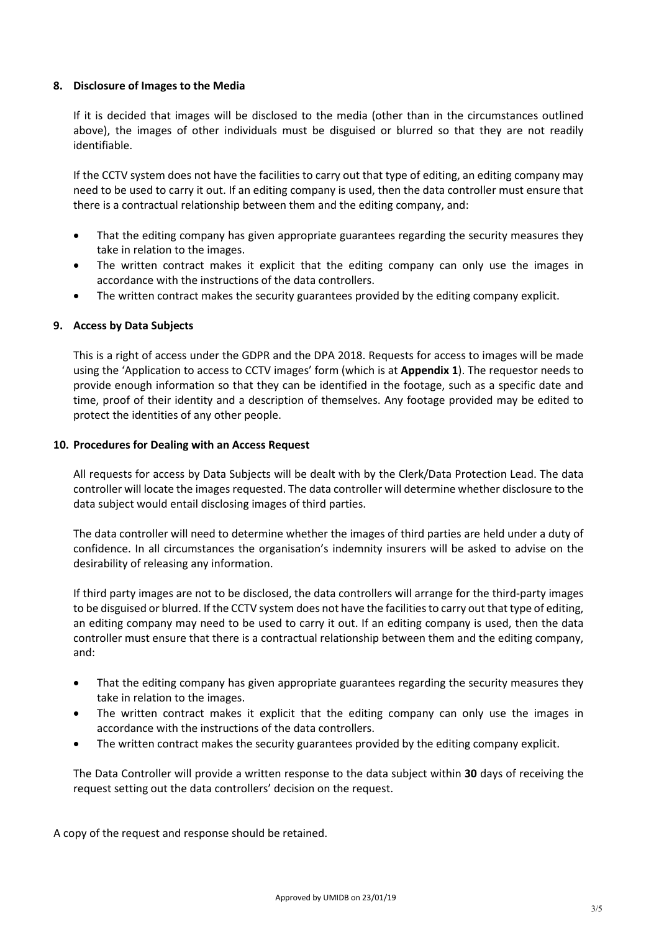#### **8. Disclosure of Images to the Media**

If it is decided that images will be disclosed to the media (other than in the circumstances outlined above), the images of other individuals must be disguised or blurred so that they are not readily identifiable.

If the CCTV system does not have the facilities to carry out that type of editing, an editing company may need to be used to carry it out. If an editing company is used, then the data controller must ensure that there is a contractual relationship between them and the editing company, and:

- That the editing company has given appropriate guarantees regarding the security measures they take in relation to the images.
- The written contract makes it explicit that the editing company can only use the images in accordance with the instructions of the data controllers.
- The written contract makes the security guarantees provided by the editing company explicit.

# **9. Access by Data Subjects**

This is a right of access under the GDPR and the DPA 2018. Requests for access to images will be made using the 'Application to access to CCTV images' form (which is at **Appendix 1**). The requestor needs to provide enough information so that they can be identified in the footage, such as a specific date and time, proof of their identity and a description of themselves. Any footage provided may be edited to protect the identities of any other people.

#### **10. Procedures for Dealing with an Access Request**

All requests for access by Data Subjects will be dealt with by the Clerk/Data Protection Lead. The data controller will locate the images requested. The data controller will determine whether disclosure to the data subject would entail disclosing images of third parties.

The data controller will need to determine whether the images of third parties are held under a duty of confidence. In all circumstances the organisation's indemnity insurers will be asked to advise on the desirability of releasing any information.

If third party images are not to be disclosed, the data controllers will arrange for the third-party images to be disguised or blurred. If the CCTV system does not have the facilities to carry out that type of editing, an editing company may need to be used to carry it out. If an editing company is used, then the data controller must ensure that there is a contractual relationship between them and the editing company, and:

- That the editing company has given appropriate guarantees regarding the security measures they take in relation to the images.
- The written contract makes it explicit that the editing company can only use the images in accordance with the instructions of the data controllers.
- The written contract makes the security guarantees provided by the editing company explicit.

The Data Controller will provide a written response to the data subject within **30** days of receiving the request setting out the data controllers' decision on the request.

A copy of the request and response should be retained.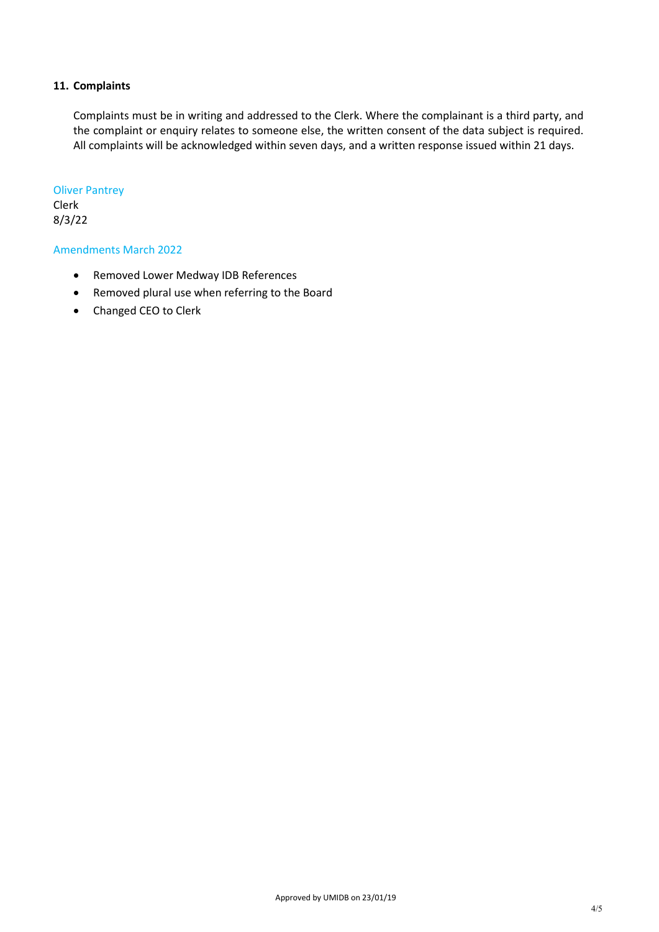## **11. Complaints**

Complaints must be in writing and addressed to the Clerk. Where the complainant is a third party, and the complaint or enquiry relates to someone else, the written consent of the data subject is required. All complaints will be acknowledged within seven days, and a written response issued within 21 days.

#### Oliver Pantrey Clerk

8/3/22

# Amendments March 2022

- Removed Lower Medway IDB References
- Removed plural use when referring to the Board
- Changed CEO to Clerk